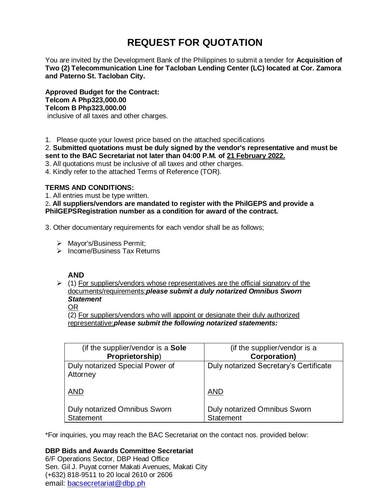# **REQUEST FOR QUOTATION**

You are invited by the Development Bank of the Philippines to submit a tender for **Acquisition of Two (2) Telecommunication Line for Tacloban Lending Center (LC) located at Cor. Zamora and Paterno St. Tacloban City.**

**Approved Budget for the Contract: Telcom A Php323,000.00 Telcom B Php323,000.00** inclusive of all taxes and other charges.

1. Please quote your lowest price based on the attached specifications

2. **Submitted quotations must be duly signed by the vendor's representative and must be sent to the BAC Secretariat not later than 04:00 P.M. of 21 February 2022.**

3. All quotations must be inclusive of all taxes and other charges.

4. Kindly refer to the attached Terms of Reference (TOR).

# **TERMS AND CONDITIONS:**

1. All entries must be type written.

2**. All suppliers/vendors are mandated to register with the PhilGEPS and provide a PhilGEPSRegistration number as a condition for award of the contract.**

3. Other documentary requirements for each vendor shall be as follows;

- > Mayor's/Business Permit;
- $\triangleright$  Income/Business Tax Returns

# **AND**

 $\triangleright$  (1) For suppliers/vendors whose representatives are the official signatory of the documents/requirements:*please submit a duly notarized Omnibus Sworn Statement*

## OR

(2) For suppliers/vendors who will appoint or designate their duly authorized representative:*please submit the following notarized statements:*

| (if the supplier/vendor is a <b>Sole</b> )  | (if the supplier/vendor is a           |
|---------------------------------------------|----------------------------------------|
| Proprietorship)                             | <b>Corporation)</b>                    |
| Duly notarized Special Power of<br>Attorney | Duly notarized Secretary's Certificate |
| <b>AND</b>                                  | <b>AND</b>                             |
| <b>Duly notarized Omnibus Sworn</b>         | Duly notarized Omnibus Sworn           |
| <b>Statement</b>                            | <b>Statement</b>                       |

\*For inquiries, you may reach the BAC Secretariat on the contact nos. provided below:

# **DBP Bids and Awards Committee Secretariat**

6/F Operations Sector, DBP Head Office Sen. Gil J. Puyat corner Makati Avenues, Makati City (+632) 818-9511 to 20 local 2610 or 2606 email: [bacsecretariat@dbp.ph](mailto:bacsecretariat@dbp.ph)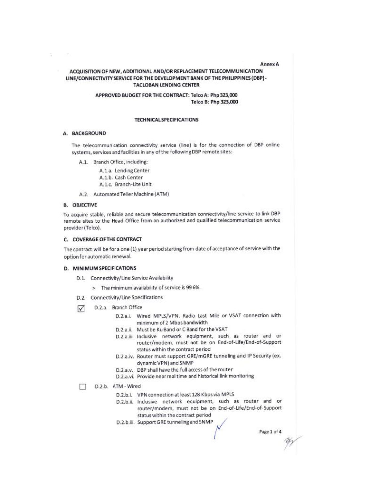**Annex A** 

#### ACQUISITION OF NEW, ADDITIONAL AND/OR REPLACEMENT TELECOMMUNICATION LINE/CONNECTIVITY SERVICE FOR THE DEVELOPMENT BANK OF THE PHILIPPINES (DBP)-**TACLOBAN LENDING CENTER**

#### APPROVED BUDGET FOR THE CONTRACT: Telco A: Php 323,000 Telco B: Php 323,000

#### **TECHNICAL SPECIFICATIONS**

#### A. BACKGROUND

The telecommunication connectivity service (line) is for the connection of DBP online systems, services and facilities in any of the following DBP remote sites:

- A.1. Branch Office, including:
	- A.1.a. Lending Center
	- A.1.b. Cash Center
	- A.1.c. Branch-Lite Unit
- A.2. Automated Teller Machine (ATM)

#### **B. OBJECTIVE**

To acquire stable, reliable and secure telecommunication connectivity/line service to link DBP remote sites to the Head Office from an authorized and qualified telecommunication service provider (Telco).

#### C. COVERAGE OF THE CONTRACT

The contract will be for a one (1) year period starting from date of acceptance of service with the option for automatic renewal.

#### D. MINIMUM SPECIFICATIONS

- D.1. Connectivity/Line Service Availability
	- > The minimum availability of service is 99.6%.
- D.2. Connectivity/Line Specifications
- D.2.a. Branch Office ا⊽
	- D.2.a.i. Wired MPLS/VPN, Radio Last Mile or VSAT connection with minimum of 2 Mbps bandwidth
	- D.2.a.ii. Must be Ku Band or C Band for the VSAT
	- D.2.a.iii. Inclusive network equipment, such as router and or router/modem, must not be on End-of-Life/End-of-Support status within the contract period
	- D.2.a.iv. Router must support GRE/mGRE tunneling and IP Security (ex. dynamic VPN) and SNMP
	- D.2.a.v. DBP shall have the full access of the router
	- D.2.a.vi. Provide near real time and historical link monitoring
- D.2.b. ATM Wired п
	- D.2.b.i. VPN connection at least 128 Kbps via MPLS
	- D.2.b.ii. Inclusive network equipment, such as router and or router/modem, must not be on End-of-Life/End-of-Support status within the contract period
	- D.2.b.iii. Support GRE tunneling and SNMP

Page 1 of 4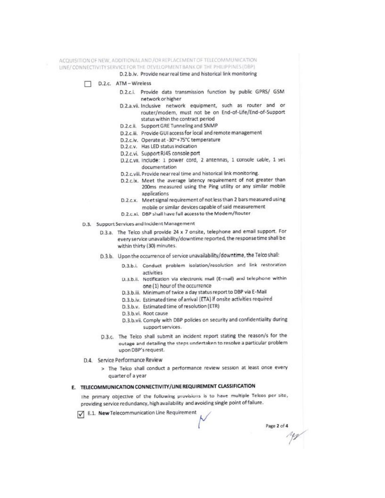#### ACQUISITION OF NEW, ADDITIONAL AND /OR REPLACEMENT OF TELECOMMUNICATION

LINE/CONNECTIVITY SERVICE FOR THE DEVELOPMENT BANK OF THE PHILIPPINES (DBP)

D.2.b.iv. Provide near real time and historical link monitoring

D.2.c. ATM-Wireless

- D.2.c.i. Provide data transmission function by public GPRS/ GSM network or higher
- D.2.a.vii. Inclusive network equipment, such as router and or router/modem, must not be on End-of-Life/End-of-Support status within the contract period
- D.2.c.ii. Support GRE Tunneling and SNMP
- D.2.c.iii. Provide GUI access for local and remote management
- D.2.c.iv. Operate at -30~+75°C temperature
- D.2.c.v. Has LED status indication
- D.2.c.vi. Support RJ45 console port
- D.Z.c.vii. Include: 1 power cord, 2 antennas, 1 console cable, 1 set documentation
- D.2.c.viii. Provide near real time and historical link monitoring.
- D.2.c.ix. Meet the average latency requirement of not greater than 200ms measured using the Ping utility or any similar mobile applications
- D.2.c.x. Meet signal requirement of not less than 2 bars measured using mobile or similar devices capable of said measurement
- D.2.c.xi. DBP shall have full access to the Modem/Router
- D.3. Support Services and Incident Management
	- D.3.a. The Telco shall provide 24 x 7 onsite, telephone and email support. For every service unavailability/downtime reported, the response time shall be within thirty (30) minutes.
	- D.3.b. Upon the occurrence of service unavailability/downtime, the Telco shall:
		- D.3.b.i. Conduct problem isolation/resolution and link restoration activities
		- D.3.b.ii. Notification via electronic mail (E-mail) and telephone within one (1) hour of the occurrence
		- D.3.b.iii. Minimum of twice a day status report to DBP via E-Mail
		- D.3.b.iv. Estimated time of arrival (ETA) if onsite activities required
		- D.3.b.v. Estimated time of resolution (ETR)
		- D.3.b.vi. Root cause
		- D.3.b.vii. Comply with DBP policies on security and confidentiality during support services.
	- D.3.c. The Telco shall submit an incident report stating the reason/s for the outage and detailing the steps undertaken to resolve a particular problem upon DBP's request.
- D.4. Service Performance Review
	- > The Telco shall conduct a performance review session at least once every quarter of a year

#### E. TELECOMMUNICATION CONNECTIVITY/LINE REQUIREMENT CLASSIFICATION

The primary objective of the following provisions is to have multiple Telcos per site, providing service redundancy, high availability and avoiding single point of failure.

E.1. New Telecommunication Line Requirement

Page 2 of 4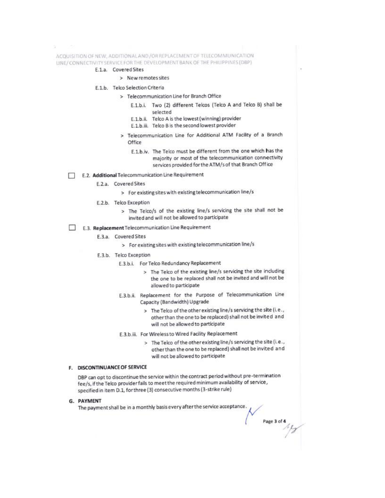ACQUISITION OF NEW, ADDITIONAL AND / OR REPLACEMENT OF TELECOMMUNICATION LINE/CONNECTIVITY SERVICE FOR THE DEVELOPMENT BANK OF THE PHILIPPINES (DBP)

E.1.a. Covered Sites

#### > New remotes sites

#### E.1.b. Telco Selection Criteria

- > Telecommunication Line for Branch Office
	- E.1.b.i. Two (2) different Telcos (Telco A and Telco B) shall be selected
	- E.1.b.ii. Telco A is the lowest (winning) provider
	- E.1.b.iii. Telco B is the second lowest provider
- > Telecommunication Line for Additional ATM Facility of a Branch Office
	- E.1.b.iv. The Telco must be different from the one which has the majority or most of the telecommunication connectivity services provided for the ATM/s of that Branch Office

#### E.2. Additional Telecommunication Line Requirement п

- E.2.a. Covered Sites
	- > For existing sites with existing telecommunication line/s
- E.2.b. Telco Exception
	- > The Telco/s of the existing line/s servicing the site shall not be invited and will not be allowed to participate

#### E.3. Replacement Telecommunication Line Requirement

- E.3.a. Covered Sites
	- > For existing sites with existing telecommunication line/s
- E.3.b. Telco Exception
	- E.3.b.i. For Telco Redundancy Replacement
		- > The Telco of the existing line/s servicing the site including the one to be replaced shall not be invited and will not be allowed to participate
	- E.3.b.ii. Replacement for the Purpose of Telecommunication Line Capacity (Bandwidth) Upgrade
		- > The Telco of the other existing line/s servicing the site (i.e., other than the one to be replaced) shall not be invited and will not be allowed to participate
	- E.3.b.iii. For Wireless to Wired Facility Replacement
		- > The Telco of the other existing line/s servicing the site (i.e., other than the one to be replaced) shall not be invited and will not be allowed to participate

Page 3 of 4

#### **F. DISCONTINUANCE OF SERVICE**

DBP can opt to discontinue the service within the contract period without pre-termination fee/s, if the Telco provider fails to meet the required minimum availability of service, specified in item D.1, for three (3) consecutive months (3-strike rule)

### G. PAYMENT

The payment shall be in a monthly basis every after the service acceptance.